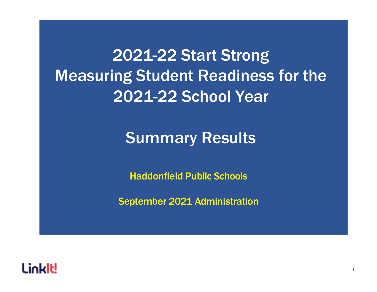2021-22 Start Strong Measuring Student Readiness for the 2021-22 School Year

# Summary Results

Haddonfield Public Schools

September 2021 Administration

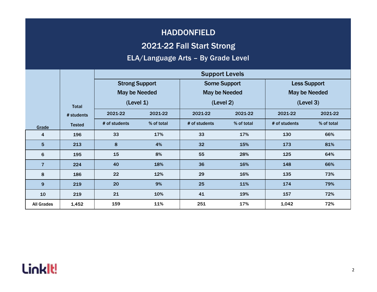#### 2021-22 Fall Start Strong

#### ELA/Language Arts – By Grade Level

|                   |               | <b>Support Levels</b> |            |                      |                     |                      |                     |  |  |
|-------------------|---------------|-----------------------|------------|----------------------|---------------------|----------------------|---------------------|--|--|
|                   |               | <b>Strong Support</b> |            |                      | <b>Some Support</b> |                      | <b>Less Support</b> |  |  |
|                   |               | <b>May be Needed</b>  |            | <b>May be Needed</b> |                     | <b>May be Needed</b> |                     |  |  |
|                   | <b>Total</b>  | (Level 1)             |            |                      | (Level 2)           |                      | (Level 3)           |  |  |
|                   | # students    | 2021-22<br>2021-22    |            | 2021-22              | 2021-22             | 2021-22              | 2021-22             |  |  |
| Grade             | <b>Tested</b> | # of students         | % of total | # of students        | % of total          | # of students        | % of total          |  |  |
| 4                 | 196           | 33                    | 17%        | 33                   | 17%                 | 130                  | 66%                 |  |  |
| 5                 | 213           | 8                     | 4%         | 32                   | 15%                 | 173                  | 81%                 |  |  |
| 6                 | 195           | 15                    | 8%         | 55                   | 28%                 | 125                  | 64%                 |  |  |
| $\overline{7}$    | 224           | 40                    | 18%        | 36                   | 16%                 | 148                  | 66%                 |  |  |
| 8                 | 186           | 22                    | 12%        | 29                   | 16%                 | 135                  | 73%                 |  |  |
| 9                 | 219           | 20                    | 9%         | 25                   | 11%                 | 174                  | 79%                 |  |  |
| 10                | 219           | 21                    | 10%        | 41                   | 19%                 | 157                  | 72%                 |  |  |
| <b>All Grades</b> | 1,452         | 159                   | 11%        | 251                  | 17%                 | 1,042                | 72%                 |  |  |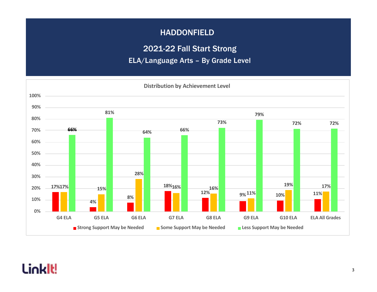2021-22 Fall Start Strong

ELA/Language Arts – By Grade Level

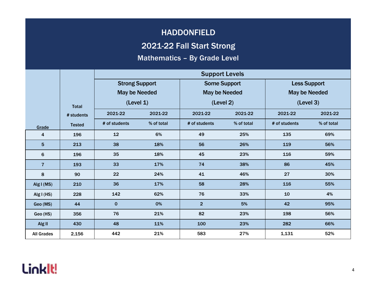#### 2021-22 Fall Start Strong

#### Mathematics – By Grade Level

|                   |               | <b>Support Levels</b> |            |                      |                     |               |                      |  |  |
|-------------------|---------------|-----------------------|------------|----------------------|---------------------|---------------|----------------------|--|--|
|                   |               | <b>Strong Support</b> |            |                      | <b>Some Support</b> |               | <b>Less Support</b>  |  |  |
|                   |               | <b>May be Needed</b>  |            | <b>May be Needed</b> |                     |               | <b>May be Needed</b> |  |  |
|                   | <b>Total</b>  | (Level 1)             |            | (Level 2)            |                     | (Level 3)     |                      |  |  |
|                   | # students    | 2021-22               | 2021-22    | 2021-22              | 2021-22             | 2021-22       | 2021-22              |  |  |
| Grade             | <b>Tested</b> | # of students         | % of total | # of students        | % of total          | # of students | % of total           |  |  |
| 4                 | 196           | 12                    | 6%         | 49                   | 25%                 | 135           | 69%                  |  |  |
| 5                 | 213           | 38                    | 18%        | 56                   | 26%                 | 119           | 56%                  |  |  |
| 6                 | 196           | 35                    | 18%        | 45                   | 23%                 | 116           | 59%                  |  |  |
| $\overline{7}$    | 193           | 33                    | 17%        | 74                   | 38%                 | 86            | 45%                  |  |  |
| 8                 | 90            | 22                    | 24%        | 41                   | 46%                 | 27            | 30%                  |  |  |
| Alg I (MS)        | 210           | 36                    | 17%        | 58                   | 28%                 | 116           | 55%                  |  |  |
| Alg $I(HS)$       | 228           | 142                   | 62%        | 76                   | 33%                 | 10            | 4%                   |  |  |
| Geo (MS)          | 44            | $\mathbf 0$           | 0%         | $\overline{2}$       | 5%                  | 42            | 95%                  |  |  |
| Geo (HS)          | 356           | 76                    | 21%        | 82                   | 23%                 | 198           | 56%                  |  |  |
| Alg II            | 430           | 48                    | 11%        | 100                  | 23%                 | 282           | 66%                  |  |  |
| <b>All Grades</b> | 2,156         | 442                   | 21%        | 583                  | 27%                 | 1,131         | 52%                  |  |  |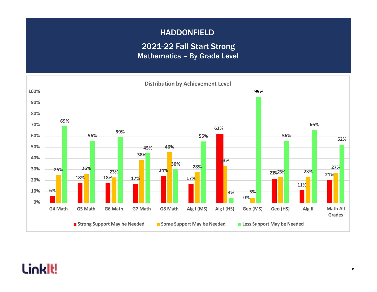### HADDONFIELD 2021-22 Fall Start Strong Mathematics – By Grade Level

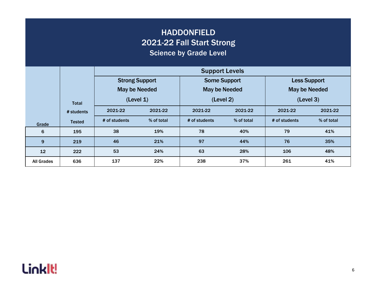| <b>HADDONFIELD</b><br>2021-22 Fall Start Strong<br><b>Science by Grade Level</b> |               |                                                                      |            |                     |            |               |                     |  |  |  |
|----------------------------------------------------------------------------------|---------------|----------------------------------------------------------------------|------------|---------------------|------------|---------------|---------------------|--|--|--|
|                                                                                  |               | <b>Support Levels</b>                                                |            |                     |            |               |                     |  |  |  |
|                                                                                  |               | <b>Strong Support</b>                                                |            | <b>Some Support</b> |            |               | <b>Less Support</b> |  |  |  |
|                                                                                  |               | <b>May be Needed</b><br><b>May be Needed</b><br><b>May be Needed</b> |            |                     |            |               |                     |  |  |  |
|                                                                                  | <b>Total</b>  | (Level 1)                                                            |            | (Level 2)           |            | (Level 3)     |                     |  |  |  |
|                                                                                  | # students    | 2021-22<br>2021-22                                                   |            | 2021-22             | 2021-22    | 2021-22       | 2021-22             |  |  |  |
| Grade                                                                            | <b>Tested</b> | # of students                                                        | % of total | # of students       | % of total | # of students | % of total          |  |  |  |
| 6                                                                                | 195           | 38                                                                   | 19%        | 78                  | 40%        | 79            | 41%                 |  |  |  |
| 9                                                                                | 219           | 46                                                                   | 21%        | 97                  | 44%        | 76            | 35%                 |  |  |  |
| 12                                                                               | 222           | 53                                                                   | 24%        | 63                  | 28%        | 106           | 48%                 |  |  |  |
| <b>All Grades</b>                                                                | 636           | 137                                                                  | 22%        | 238                 | 37%        | 261           | 41%                 |  |  |  |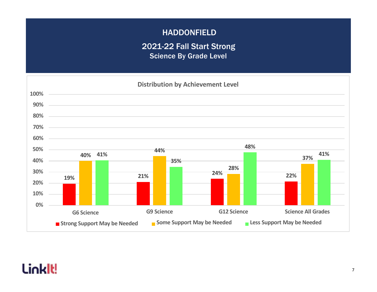### HADDONFIELD 2021-22 Fall Start Strong Science By Grade Level

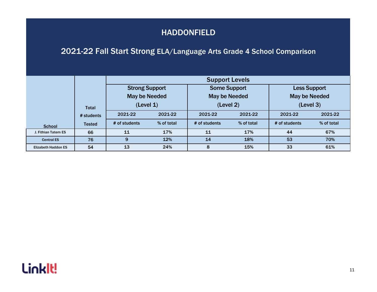#### 2021-22 Fall Start Strong ELA/Language Arts Grade 4 School Comparison

|                            |                            | <b>Support Levels</b>                                      |            |                                                          |            |                                                          |            |  |  |
|----------------------------|----------------------------|------------------------------------------------------------|------------|----------------------------------------------------------|------------|----------------------------------------------------------|------------|--|--|
|                            | <b>Total</b><br># students | <b>Strong Support</b><br><b>May be Needed</b><br>(Level 1) |            | <b>Some Support</b><br><b>May be Needed</b><br>(Level 2) |            | <b>Less Support</b><br><b>May be Needed</b><br>(Level 3) |            |  |  |
|                            |                            | 2021-22                                                    | 2021-22    | 2021-22                                                  | 2021-22    | 2021-22                                                  | 2021-22    |  |  |
| <b>School</b>              | <b>Tested</b>              | # of students                                              | % of total | # of students                                            | % of total | # of students                                            | % of total |  |  |
| J. Fithian Tatem ES        | 66                         | 11                                                         | 17%        | 11                                                       | 17%        | 44                                                       | 67%        |  |  |
| <b>Central ES</b>          | 76                         | 9                                                          | 12%        | 14                                                       | 18%        | 53                                                       | 70%        |  |  |
| <b>Elizabeth Haddon ES</b> | 54                         | 13                                                         | 24%        | 8                                                        | 15%        | 33                                                       | 61%        |  |  |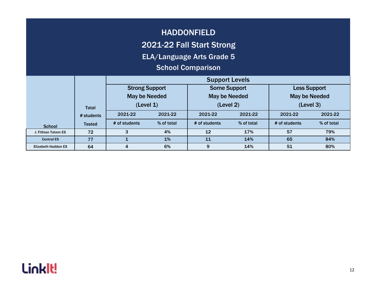#### 2021-22 Fall Start Strong

ELA/Language Arts Grade 5

#### School Comparison

|                            |               |                       |            | <b>Support Levels</b> |            |                      |            |
|----------------------------|---------------|-----------------------|------------|-----------------------|------------|----------------------|------------|
|                            |               | <b>Strong Support</b> |            | <b>Some Support</b>   |            | <b>Less Support</b>  |            |
|                            |               | <b>May be Needed</b>  |            | <b>May be Needed</b>  |            | <b>May be Needed</b> |            |
|                            | <b>Total</b>  | (Level 1)             |            | (Level 2)             |            | (Level 3)            |            |
|                            | # students    | 2021-22               | 2021-22    | 2021-22               | 2021-22    | 2021-22              | 2021-22    |
| <b>School</b>              | <b>Tested</b> | # of students         | % of total | # of students         | % of total | # of students        | % of total |
| J. Fithian Tatem ES        | 72            |                       | 4%         | 12                    | 17%        | 57                   | 79%        |
| <b>Central ES</b>          | 77            |                       | 1%         | 11                    | 14%        | 65                   | 84%        |
| <b>Elizabeth Haddon ES</b> | 64            | 4                     | 6%         | 9                     | 14%        | 51                   | 80%        |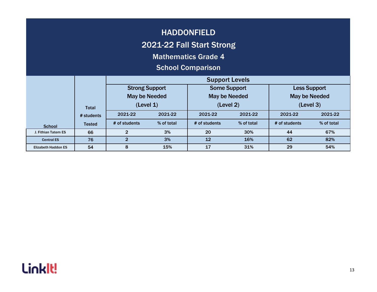#### 2021-22 Fall Start Strong

Mathematics Grade 4

#### School Comparison

|                            |               |                       |            | <b>Support Levels</b> |            |                      |            |
|----------------------------|---------------|-----------------------|------------|-----------------------|------------|----------------------|------------|
|                            |               | <b>Strong Support</b> |            | <b>Some Support</b>   |            | <b>Less Support</b>  |            |
|                            |               | <b>May be Needed</b>  |            | <b>May be Needed</b>  |            | <b>May be Needed</b> |            |
|                            | <b>Total</b>  | (Level 1)             |            | (Level 2)             |            | (Level 3)            |            |
|                            | # students    | 2021-22               | 2021-22    | 2021-22               | 2021-22    | 2021-22              | 2021-22    |
| <b>School</b>              | <b>Tested</b> | # of students         | % of total | # of students         | % of total | # of students        | % of total |
| J. Fithian Tatem ES        | 66            |                       | 3%         | 20                    | 30%        | 44                   | 67%        |
| <b>Central ES</b>          | 76            |                       | 3%         | 12                    | 16%        | 62                   | 82%        |
| <b>Elizabeth Haddon ES</b> | 54            | 8                     | 15%        | 17                    | 31%        | 29                   | 54%        |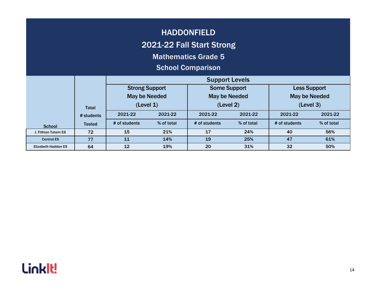#### 2021-22 Fall Start Strong

Mathematics Grade 5

#### School Comparison

|                            |                            |                       |            | <b>Support Levels</b> |            |                      |            |
|----------------------------|----------------------------|-----------------------|------------|-----------------------|------------|----------------------|------------|
|                            |                            | <b>Strong Support</b> |            | <b>Some Support</b>   |            | <b>Less Support</b>  |            |
|                            |                            | <b>May be Needed</b>  |            | <b>May be Needed</b>  |            | <b>May be Needed</b> |            |
|                            | <b>Total</b><br># students | (Level 1)             |            | (Level 2)             |            | (Level 3)            |            |
|                            |                            | 2021-22               | 2021-22    | 2021-22               | 2021-22    | 2021-22              | 2021-22    |
| <b>School</b>              | <b>Tested</b>              | # of students         | % of total | # of students         | % of total | # of students        | % of total |
| J. Fithian Tatem ES        | 72                         | 15                    | 21%        | 17                    | 24%        | 40                   | 56%        |
| <b>Central ES</b>          | 77                         | 11                    | 14%        | 19                    | 25%        | 47                   | 61%        |
| <b>Elizabeth Haddon ES</b> | 64                         | 12                    | 19%        | 20                    | 31%        | 32                   | 50%        |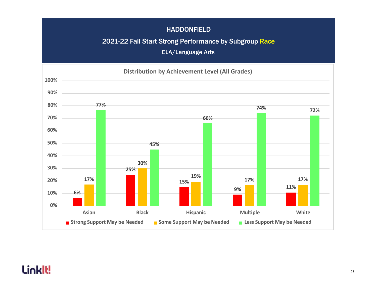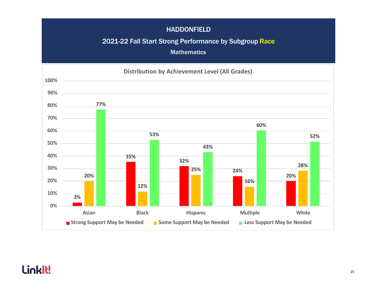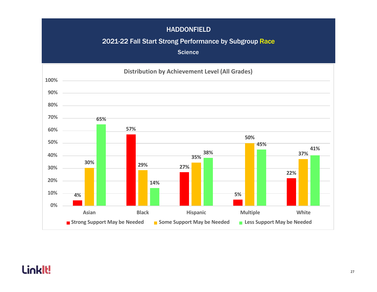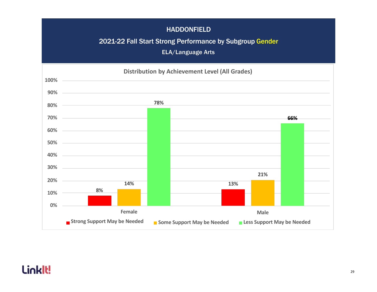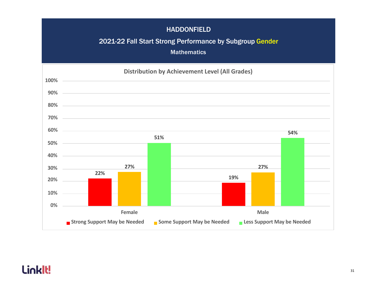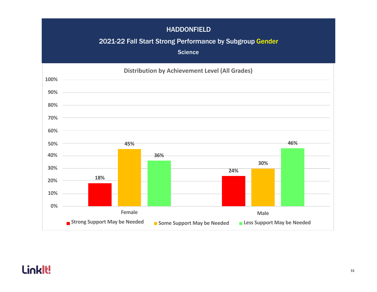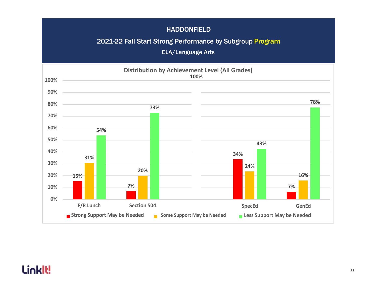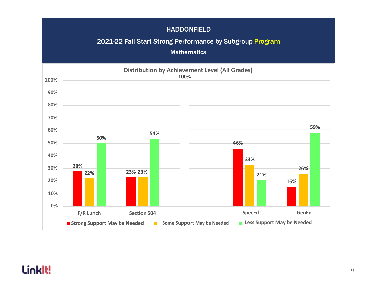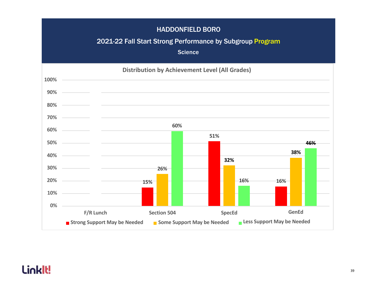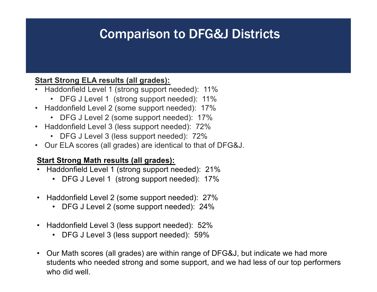## Comparison to DFG&J Districts

#### **Start Strong ELA results (all grades):**

- Haddonfield Level 1 (strong support needed): 11%
	- DFG J Level 1 (strong support needed): 11%
- Haddonfield Level 2 (some support needed): 17%
	- DFG J Level 2 (some support needed): 17%
- Haddonfield Level 3 (less support needed): 72%
	- DFG J Level 3 (less support needed): 72%
- Our ELA scores (all grades) are identical to that of DFG&J.

#### **Start Strong Math results (all grades):**

- Haddonfield Level 1 (strong support needed): 21%
	- DFG J Level 1 (strong support needed): 17%
- Haddonfield Level 2 (some support needed): 27%
	- DFG J Level 2 (some support needed): 24%
- Haddonfield Level 3 (less support needed): 52%
	- DFG J Level 3 (less support needed): 59%
- Our Math scores (all grades) are within range of DFG&J, but indicate we had more students who needed strong and some support, and we had less of our top performers who did well.